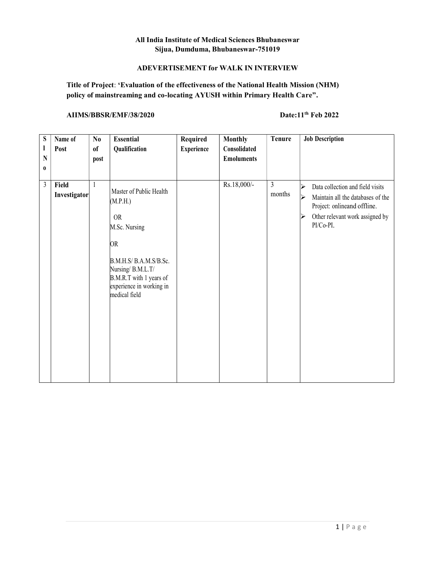# All India Institute of Medical Sciences Bhubaneswar Sijua, Dumduma, Bhubaneswar-751019

# ADEVERTISEMENT for WALK IN INTERVIEW

# Title of Project: 'Evaluation of the effectiveness of the National Health Mission (NHM) policy of mainstreaming and co-locating AYUSH within Primary Health Care".

# AIIMS/BBSR/EMF/38/2020 Date:11<sup>th</sup> Feb 2022

| S<br>$\mathbf{I}$<br>N<br>$\bf{0}$ | Name of<br>Post       | $\mathbf{N}\mathbf{0}$<br><sub>of</sub><br>post | <b>Essential</b><br>Qualification                                                                                                                                                                    | Required<br><b>Experience</b> | <b>Monthly</b><br>Consolidated<br><b>Emoluments</b> | Tenure                   | <b>Job Description</b>                                                                                                                                                                                      |
|------------------------------------|-----------------------|-------------------------------------------------|------------------------------------------------------------------------------------------------------------------------------------------------------------------------------------------------------|-------------------------------|-----------------------------------------------------|--------------------------|-------------------------------------------------------------------------------------------------------------------------------------------------------------------------------------------------------------|
| $\mathfrak{Z}$                     | Field<br>Investigator | 1                                               | Master of Public Health<br>(M.P.H.)<br><b>OR</b><br>M.Sc. Nursing<br><b>OR</b><br>B.M.H.S/B.A.M.S/B.Sc.<br>Nursing/ B.M.L.T/<br>B.M.R.T with 1 years of<br>experience in working in<br>medical field |                               | Rs.18,000/-                                         | $\overline{3}$<br>months | Data collection and field visits<br>$\blacktriangleright$<br>Maintain all the databases of the<br>$\blacktriangleright$<br>Project: onlineand offline.<br>Other relevant work assigned by<br>⋗<br>PI/Co-PI. |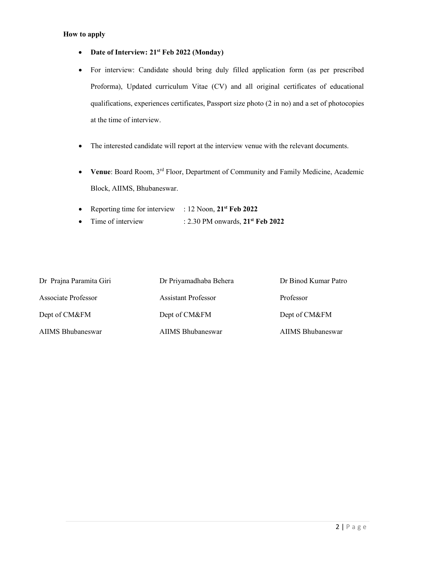#### How to apply

- Date of Interview: 21<sup>st</sup> Feb 2022 (Monday)
- For interview: Candidate should bring duly filled application form (as per prescribed Proforma), Updated curriculum Vitae (CV) and all original certificates of educational qualifications, experiences certificates, Passport size photo (2 in no) and a set of photocopies at the time of interview.
- The interested candidate will report at the interview venue with the relevant documents.
- Venue: Board Room, 3<sup>rd</sup> Floor, Department of Community and Family Medicine, Academic Block, AIIMS, Bhubaneswar.
- Reporting time for interview : 12 Noon,  $21<sup>st</sup>$  Feb 2022
- Time of interview :  $2.30 \text{ PM}$  onwards,  $21^{\text{st}}$  Feb 2022

| Dr Prajna Paramita Giri | Dr Priyamadhaba Behera     | Dr Binod Kumar Patro |
|-------------------------|----------------------------|----------------------|
| Associate Professor     | <b>Assistant Professor</b> | Professor            |
| Dept of CM&FM           | Dept of CM&FM              | Dept of CM&FM        |
| AIIMS Bhubaneswar       | AIIMS Bhubaneswar          | AIIMS Bhubaneswar    |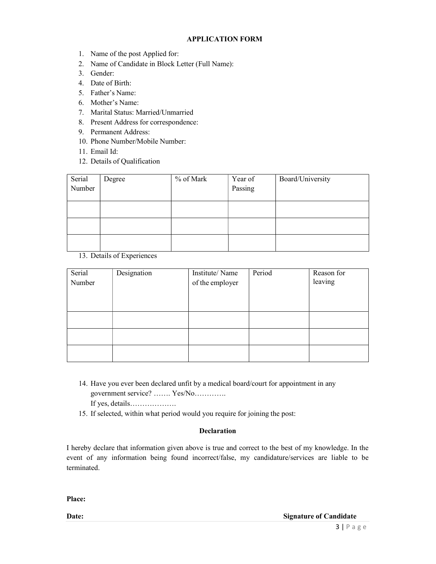### APPLICATION FORM

- 1. Name of the post Applied for:
- 2. Name of Candidate in Block Letter (Full Name):
- 3. Gender:
- 4. Date of Birth:
- 5. Father's Name:
- 6. Mother's Name:
- 7. Marital Status: Married/Unmarried
- 8. Present Address for correspondence:
- 9. Permanent Address:
- 10. Phone Number/Mobile Number:
- 11. Email Id:
- 12. Details of Qualification

| Serial<br>Number | Degree | % of Mark | Year of<br>Passing | Board/University |
|------------------|--------|-----------|--------------------|------------------|
|                  |        |           |                    |                  |
|                  |        |           |                    |                  |
|                  |        |           |                    |                  |

13. Details of Experiences

| Serial<br>Number | Designation | Institute/Name<br>of the employer | Period | Reason for<br>leaving |
|------------------|-------------|-----------------------------------|--------|-----------------------|
|                  |             |                                   |        |                       |
|                  |             |                                   |        |                       |
|                  |             |                                   |        |                       |

- 14. Have you ever been declared unfit by a medical board/court for appointment in any government service? ……. Yes/No…………. If yes, details……………….
- 15. If selected, within what period would you require for joining the post:

### Declaration

I hereby declare that information given above is true and correct to the best of my knowledge. In the event of any information being found incorrect/false, my candidature/services are liable to be terminated.

Place: